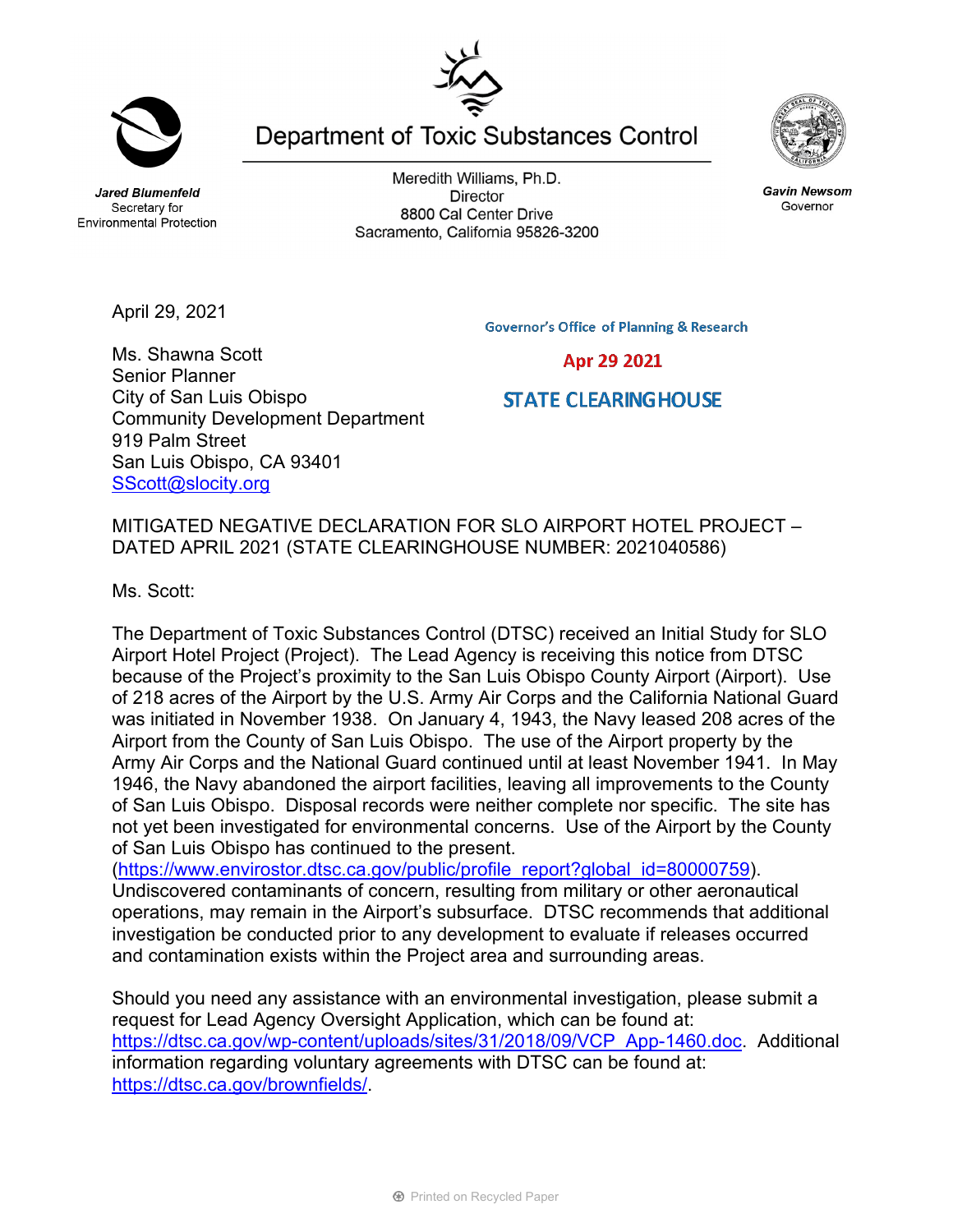**Jared Blumenfeld** Secretary for **Environmental Protection** 

Meredith Williams, Ph.D. **Director** 8800 Cal Center Drive Sacramento, California 95826-3200

Department of Toxic Substances Control

**Governor's Office of Planning & Research** 

Ms. Shawna Scott Senior Planner City of San Luis Obispo Community Development Department 919 Palm Street San Luis Obispo, CA 93401 SScott@slocity.org

MITIGATED NEGATIVE DECLARATION FOR SLO AIRPORT HOTEL PROJECT – DATED APRIL 2021 (STATE CLEARINGHOUSE NUMBER: 2021040586)

Ms. Scott:

The Department of Toxic Substances Control (DTSC) received an Initial Study for SLO Airport Hotel Project (Project). The Lead Agency is receiving this notice from DTSC because of the Project's proximity to the San Luis Obispo County Airport (Airport). Use of 218 acres of the Airport by the U.S. Army Air Corps and the California National Guard was initiated in November 1938. On January 4, 1943, the Navy leased 208 acres of the Airport from the County of San Luis Obispo. The use of the Airport property by the Army Air Corps and the National Guard continued until at least November 1941. In May 1946, the Navy abandoned the airport facilities, leaving all improvements to the County of San Luis Obispo. Disposal records were neither complete nor specific. The site has not yet been investigated for environmental concerns. Use of the Airport by the County of San Luis Obispo has continued to the present.

(https://www.envirostor.dtsc.ca.gov/public/profile\_report?global\_id=80000759). Undiscovered contaminants of concern, resulting from military or other aeronautical operations, may remain in the Airport's subsurface. DTSC recommends that additional investigation be conducted prior to any development to evaluate if releases occurred and contamination exists within the Project area and surrounding areas.

Should you need any assistance with an environmental investigation, please submit a request for Lead Agency Oversight Application, which can be found at: https://dtsc.ca.gov/wp-content/uploads/sites/31/2018/09/VCP\_App-1460.doc. Additional information regarding voluntary agreements with DTSC can be found at: https://dtsc.ca.gov/brownfields/.





**Gavin Newsom** Governor

Apr 29 2021

**STATE CLEARINGHOUSE** 



April 29, 2021